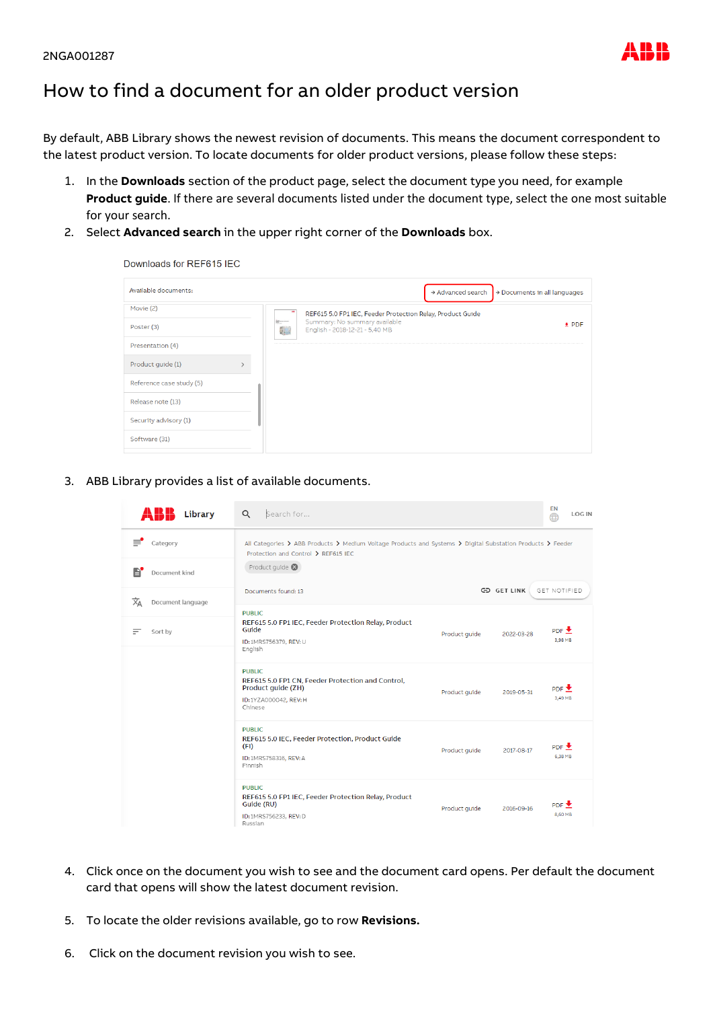## How to find a document for an older product version

By default, ABB Library shows the newest revision of documents. This means the document correspondent to the latest product version. To locate documents for older product versions, please follow these steps:

- 1. In the **Downloads** section of the product page, select the document type you need, for example **Product guide**. If there are several documents listed under the document type, select the one most suitable for your search.
- 2. Select **Advanced search** in the upper right corner of the **Downloads** box.

Downloads for RFF615 IFC

| Available documents:     |                                                                                                                                                                                                                                                                                                                                                                                                                                                                         | $\rightarrow$ Advanced search<br>$\rightarrow$ Documents in all languages |  |
|--------------------------|-------------------------------------------------------------------------------------------------------------------------------------------------------------------------------------------------------------------------------------------------------------------------------------------------------------------------------------------------------------------------------------------------------------------------------------------------------------------------|---------------------------------------------------------------------------|--|
| Movie (2)                | REF615 5.0 FP1 IEC, Feeder Protection Relay, Product Guide                                                                                                                                                                                                                                                                                                                                                                                                              |                                                                           |  |
| Poster (3)               | Summary: No summary available<br>$\frac{1}{2} \frac{1}{m} \frac{1}{m} \frac{1}{m} \frac{1}{m} \frac{1}{m} \frac{1}{m} \frac{1}{m} \frac{1}{m} \frac{1}{m} \frac{1}{m} \frac{1}{m} \frac{1}{m} \frac{1}{m} \frac{1}{m} \frac{1}{m} \frac{1}{m} \frac{1}{m} \frac{1}{m} \frac{1}{m} \frac{1}{m} \frac{1}{m} \frac{1}{m} \frac{1}{m} \frac{1}{m} \frac{1}{m} \frac{1}{m} \frac{1}{m} \frac{1}{m} \frac{1}{m} \frac{1}{m} \frac{$<br>ti J<br>English - 2018-12-21 - 5,40 MB | $±$ PDF                                                                   |  |
| Presentation (4)         |                                                                                                                                                                                                                                                                                                                                                                                                                                                                         |                                                                           |  |
| Product guide (1)        |                                                                                                                                                                                                                                                                                                                                                                                                                                                                         |                                                                           |  |
| Reference case study (5) |                                                                                                                                                                                                                                                                                                                                                                                                                                                                         |                                                                           |  |
| Release note (13)        |                                                                                                                                                                                                                                                                                                                                                                                                                                                                         |                                                                           |  |
| Security advisory (1)    |                                                                                                                                                                                                                                                                                                                                                                                                                                                                         |                                                                           |  |
| Software (31)            |                                                                                                                                                                                                                                                                                                                                                                                                                                                                         |                                                                           |  |

3. ABB Library provides a list of available documents.

| Library                | Search for<br>$\alpha$                                                                                                                            |               |                    | EN<br><b>LOGIN</b><br>⊕    |  |  |
|------------------------|---------------------------------------------------------------------------------------------------------------------------------------------------|---------------|--------------------|----------------------------|--|--|
| ≡<br>Category          | All Categories > ABB Products > Medium Voltage Products and Systems > Digital Substation Products > Feeder<br>Protection and Control > REF615 IEC |               |                    |                            |  |  |
| B<br>Document kind     | Product quide $\otimes$                                                                                                                           |               |                    |                            |  |  |
| 文<br>Document language | Documents found: 13                                                                                                                               |               | <b>GD GET LINK</b> | GET NOTIFIED               |  |  |
| Sort by<br>Ξ           | <b>PUBLIC</b><br>REF615 5.0 FP1 IEC, Feeder Protection Relay, Product<br>Guide<br>ID: 1MRS756379, REV: U<br>English                               | Product guide | 2022-03-28         | $PDF \triangle$<br>3,98 MB |  |  |
|                        | <b>PUBLIC</b><br>REF615 5.0 FP1 CN, Feeder Protection and Control,<br>Product guide (ZH)<br>ID:1YZA000042, REV: H<br>Chinese                      | Product quide | 2019-05-31         | PDF<br>3.49 MB             |  |  |
|                        | <b>PUBLIC</b><br>REF615 5.0 IEC, Feeder Protection, Product Guide<br>(FI)<br>ID: 1MRS758316, REV: A<br>Finnish                                    | Product quide | 2017-08-17         | $PDF \triangle$<br>6,38 MB |  |  |
|                        | <b>PUBLIC</b><br>REF615 5.0 FP1 IEC, Feeder Protection Relay, Product<br>Guide (RU)<br>ID:1MRS756233, REV:D<br>Russian                            | Product guide | 2016-09-16         | PDF<br>8,60 MB             |  |  |

- 4. Click once on the document you wish to see and the document card opens. Per default the document card that opens will show the latest document revision.
- 5. To locate the older revisions available, go to row **Revisions.**
- 6. Click on the document revision you wish to see.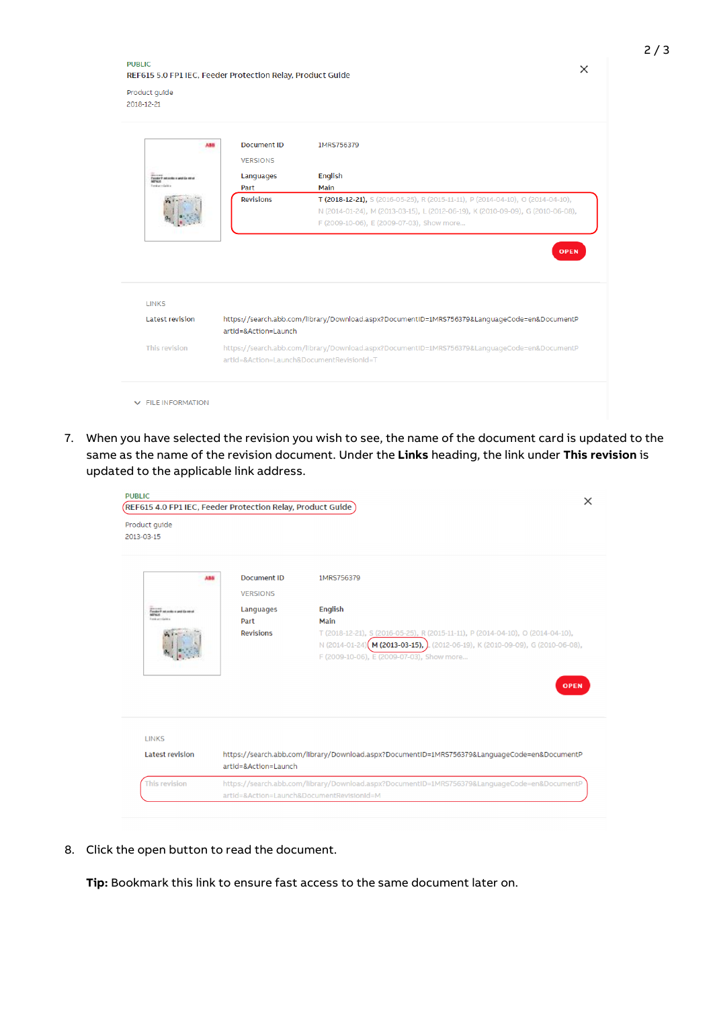**PUBLIC** REF615 5.0 FP1 IEC, Feeder Protection Relay, Product Guide

Product guide 2018-12-21

| 5,5.6                                     | Document ID<br><b>VERSIONS</b>            | 1MRS756379                                                                                                                                                                                                      |
|-------------------------------------------|-------------------------------------------|-----------------------------------------------------------------------------------------------------------------------------------------------------------------------------------------------------------------|
| Ponder P ast smile a god Ca serv<br>NOVCK | Languages                                 | English                                                                                                                                                                                                         |
| Ford percisit at                          | Part                                      | Main                                                                                                                                                                                                            |
|                                           | <b>Revisions</b>                          | T (2018-12-21), S (2016-05-25), R (2015-11-11), P (2014-04-10), O (2014-04-10),<br>N (2014-01-24), M (2013-03-15), L (2012-06-19), K (2010-09-09), G (2010-06-08),<br>F (2009-10-06), E (2009-07-03), Show more |
| <b>LINKS</b><br><b>Latest revision</b>    | artId=&Action=Launch                      | https://search.abb.com/library/Download.aspx?DocumentID=1MRS756379&LanguageCode=en&DocumentP                                                                                                                    |
| This revision                             | artId=&Action=Launch&DocumentRevisionId=T | https://search.abb.com/library/Download.aspx?DocumentID=1MRS756379&LanguageCode=en&DocumentP                                                                                                                    |
| <b>V</b> FILE INFORMATION                 |                                           |                                                                                                                                                                                                                 |

7. When you have selected the revision you wish to see, the name of the document card is updated to the same as the name of the revision document. Under the **Links** heading, the link under **This revision** is updated to the applicable link address.

| <b>PUBLIC</b><br>$\sqrt{\textsf{REF615}}$ 4.0 FP1 IEC, Feeder Protection Relay, Product Guide $\overline{\textsf{S1}}$ |                                           |                                                                                                                                                                                                                                |  |  |
|------------------------------------------------------------------------------------------------------------------------|-------------------------------------------|--------------------------------------------------------------------------------------------------------------------------------------------------------------------------------------------------------------------------------|--|--|
| Product quide<br>2013-03-15                                                                                            |                                           |                                                                                                                                                                                                                                |  |  |
| ABB.                                                                                                                   | <b>Document ID</b><br><b>VERSIONS</b>     | 1MRS756379                                                                                                                                                                                                                     |  |  |
| Tomber P mi scriba ai and Ga miral                                                                                     | Languages                                 | English                                                                                                                                                                                                                        |  |  |
| <b>NOVICE</b><br>First unmügliche                                                                                      | Part                                      | Main                                                                                                                                                                                                                           |  |  |
|                                                                                                                        | <b>Revisions</b>                          | T (2018-12-21), S (2016-05-25), R (2015-11-11), P (2014-04-10), O (2014-04-10),<br>N (2014-01-24) (M (2013-03-15), ) (2012-06-19), K (2010-09-09), G (2010-06-08),<br>F (2009-10-06), E (2009-07-03), Show more<br><b>OPEN</b> |  |  |
| <b>LINKS</b><br><b>Latest revision</b>                                                                                 |                                           | https://search.abb.com/library/Download.aspx?DocumentID=1MRS756379&LanguageCode=en&DocumentP                                                                                                                                   |  |  |
|                                                                                                                        | artId=&Action=Launch                      |                                                                                                                                                                                                                                |  |  |
| This revision                                                                                                          |                                           | https://search.abb.com/library/Download.aspx?DocumentID=1MRS756379&LanguageCode=en&DocumentP                                                                                                                                   |  |  |
|                                                                                                                        | artId=&Action=Launch&DocumentRevisionId=M |                                                                                                                                                                                                                                |  |  |

8. Click the open button to read the document.

**Tip:** Bookmark this link to ensure fast access to the same document later on.

 $\times$